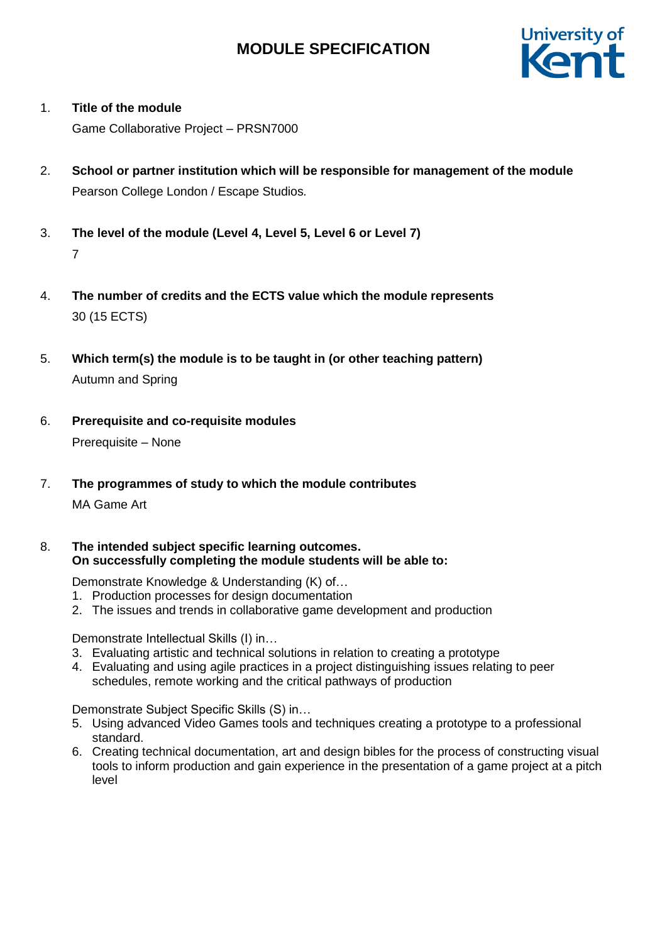

### 1. **Title of the module**

Game Collaborative Project – PRSN7000

- 2. **School or partner institution which will be responsible for management of the module** Pearson College London / Escape Studios*.*
- 3. **The level of the module (Level 4, Level 5, Level 6 or Level 7)** 7
- 4. **The number of credits and the ECTS value which the module represents**  30 (15 ECTS)
- 5. **Which term(s) the module is to be taught in (or other teaching pattern)** Autumn and Spring
- 6. **Prerequisite and co-requisite modules** Prerequisite – None
- 7. **The programmes of study to which the module contributes**

### MA Game Art

8. **The intended subject specific learning outcomes. On successfully completing the module students will be able to:**

Demonstrate Knowledge & Understanding (K) of…

- 1. Production processes for design documentation
- 2. The issues and trends in collaborative game development and production

Demonstrate Intellectual Skills (I) in…

- 3. Evaluating artistic and technical solutions in relation to creating a prototype
- 4. Evaluating and using agile practices in a project distinguishing issues relating to peer schedules, remote working and the critical pathways of production

Demonstrate Subject Specific Skills (S) in…

- 5. Using advanced Video Games tools and techniques creating a prototype to a professional standard.
- 6. Creating technical documentation, art and design bibles for the process of constructing visual tools to inform production and gain experience in the presentation of a game project at a pitch level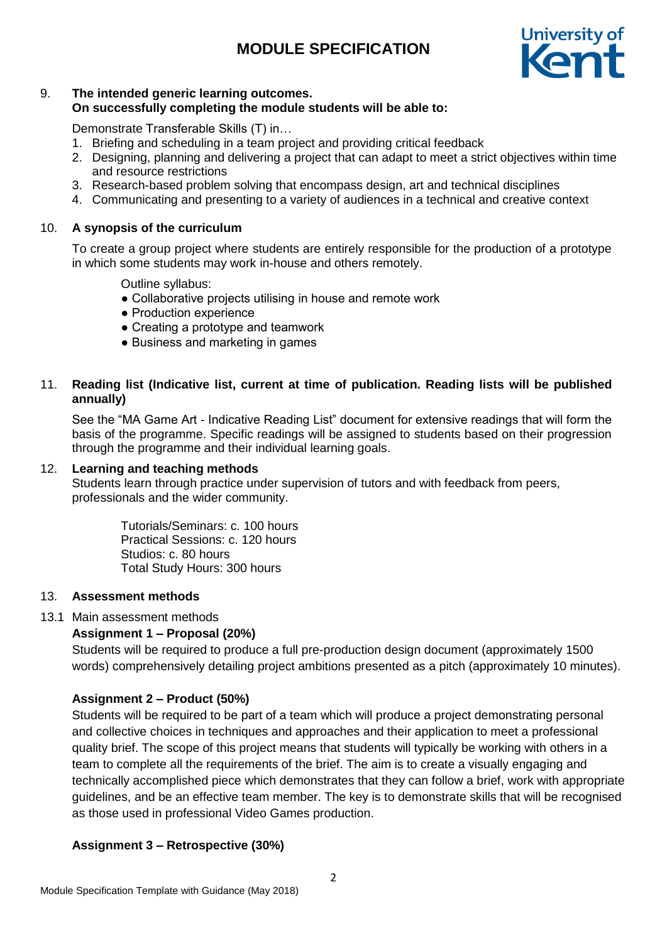

#### 9. **The intended generic learning outcomes. On successfully completing the module students will be able to:**

Demonstrate Transferable Skills (T) in…

- 1. Briefing and scheduling in a team project and providing critical feedback
- 2. Designing, planning and delivering a project that can adapt to meet a strict objectives within time and resource restrictions
- 3. Research-based problem solving that encompass design, art and technical disciplines
- 4. Communicating and presenting to a variety of audiences in a technical and creative context

#### 10. **A synopsis of the curriculum**

To create a group project where students are entirely responsible for the production of a prototype in which some students may work in-house and others remotely.

Outline syllabus:

- Collaborative projects utilising in house and remote work
- Production experience
- Creating a prototype and teamwork
- Business and marketing in games

#### 11. **Reading list (Indicative list, current at time of publication. Reading lists will be published annually)**

See the "MA Game Art - Indicative Reading List" document for extensive readings that will form the basis of the programme. Specific readings will be assigned to students based on their progression through the programme and their individual learning goals.

#### 12. **Learning and teaching methods**

Students learn through practice under supervision of tutors and with feedback from peers, professionals and the wider community.

> Tutorials/Seminars: c. 100 hours Practical Sessions: c. 120 hours Studios: c. 80 hours Total Study Hours: 300 hours

#### 13. **Assessment methods**

#### 13.1 Main assessment methods

#### **Assignment 1 – Proposal (20%)**

Students will be required to produce a full pre-production design document (approximately 1500 words) comprehensively detailing project ambitions presented as a pitch (approximately 10 minutes).

#### **Assignment 2 – Product (50%)**

Students will be required to be part of a team which will produce a project demonstrating personal and collective choices in techniques and approaches and their application to meet a professional quality brief. The scope of this project means that students will typically be working with others in a team to complete all the requirements of the brief. The aim is to create a visually engaging and technically accomplished piece which demonstrates that they can follow a brief, work with appropriate guidelines, and be an effective team member. The key is to demonstrate skills that will be recognised as those used in professional Video Games production.

### **Assignment 3 – Retrospective (30%)**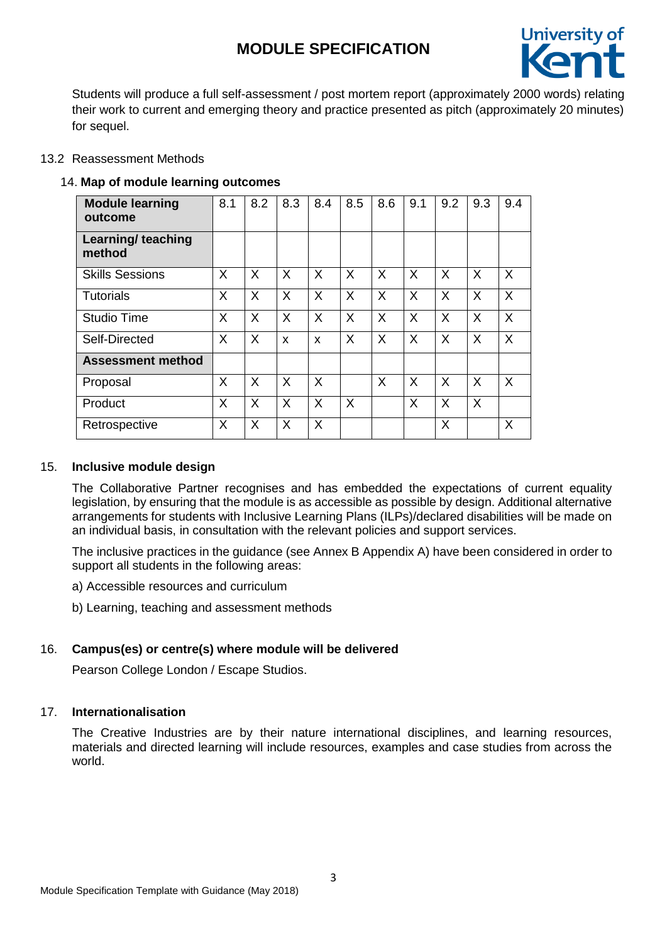

Students will produce a full self-assessment / post mortem report (approximately 2000 words) relating their work to current and emerging theory and practice presented as pitch (approximately 20 minutes) for sequel.

#### 13.2 Reassessment Methods

#### 14. **Map of module learning outcomes**

| <b>Module learning</b><br>outcome   | 8.1 | 8.2 | 8.3 | 8.4 | 8.5 | 8.6 | 9.1 | 9.2 | 9.3      | 9.4      |
|-------------------------------------|-----|-----|-----|-----|-----|-----|-----|-----|----------|----------|
| <b>Learning/ teaching</b><br>method |     |     |     |     |     |     |     |     |          |          |
| <b>Skills Sessions</b>              | X   | X   | X   | X   | X   | X   | X   | X   | X        | X        |
| <b>Tutorials</b>                    | X   | X   | X   | X   | X   | X   | X   | X   | X        | X        |
| <b>Studio Time</b>                  | X   | X   | X   | X   | X   | X   | X   | X   | X        | X        |
| Self-Directed                       | X   | X   | X   | X   | X   | X   | X   | X   | X        | X        |
| <b>Assessment method</b>            |     |     |     |     |     |     |     |     |          |          |
| Proposal                            | X   | X   | X   | X   |     | X   | X   | X   | $\times$ | $\times$ |
| Product                             | X   | X   | X   | X   | X   |     | X   | X   | X        |          |
| Retrospective                       | X   | X   | X   | X   |     |     |     | X   |          | X        |

#### 15. **Inclusive module design**

The Collaborative Partner recognises and has embedded the expectations of current equality legislation, by ensuring that the module is as accessible as possible by design. Additional alternative arrangements for students with Inclusive Learning Plans (ILPs)/declared disabilities will be made on an individual basis, in consultation with the relevant policies and support services.

The inclusive practices in the guidance (see Annex B Appendix A) have been considered in order to support all students in the following areas:

a) Accessible resources and curriculum

b) Learning, teaching and assessment methods

#### 16. **Campus(es) or centre(s) where module will be delivered**

Pearson College London / Escape Studios.

### 17. **Internationalisation**

The Creative Industries are by their nature international disciplines, and learning resources, materials and directed learning will include resources, examples and case studies from across the world.